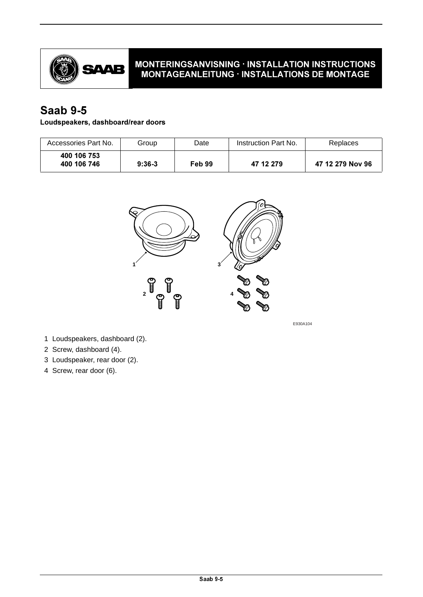

# MONTERINGSANVISNING · INSTALLATION INSTRUCTIONS MONTAGEANLEITUNG · INSTALLATIONS DE MONTAGE

# **Saab 9-5**

## Loudspeakers, dashboard/rear doors

| Accessories Part No.       | Group    | Date   | Instruction Part No. | Replaces         |
|----------------------------|----------|--------|----------------------|------------------|
| 400 106 753<br>400 106 746 | $9:36-3$ | Feb 99 | 47 12 279            | 47 12 279 Nov 96 |



E930A104

- 1 Loudspeakers, dashboard (2).
- 2 Screw, dashboard (4).
- 3 Loudspeaker, rear door (2).
- 4 Screw, rear door (6).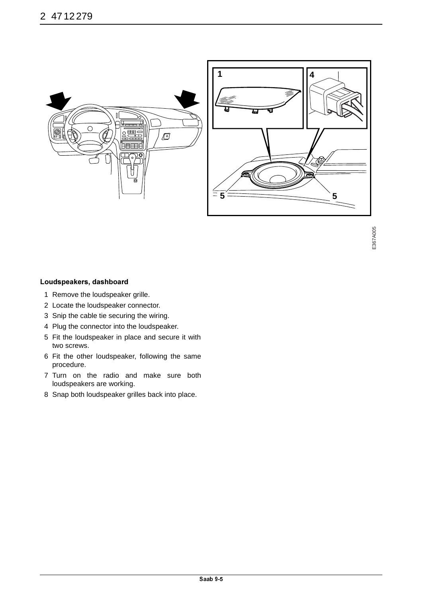



#### Loudspeakers, dashboard

- 1 Remove the loudspeaker grille.
- 2 Locate the loudspeaker connector.
- 3 Snip the cable tie securing the wiring.
- 4 Plug the connector into the loudspeaker.
- 5 Fit the loudspeaker in place and secure it with two screws.
- 6 Fit the other loudspeaker, following the same procedure.
- 7 Turn on the radio and make sure both loudspeakers are working.
- 8 Snap both loudspeaker grilles back into place.